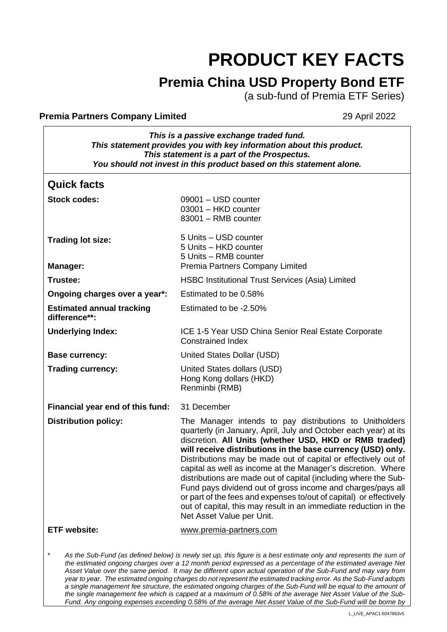# **PRODUCT KEY FACTS**

# **Premia China USD Property Bond ETF**

(a sub-fund of Premia ETF Series)

#### **Premia Partners Company Limited 29 April 2022**

| This is a passive exchange traded fund.                              |  |  |
|----------------------------------------------------------------------|--|--|
| This statement provides you with key information about this product. |  |  |
| This statement is a part of the Prospectus.                          |  |  |
| You should not invest in this product based on this statement alone. |  |  |

| <b>Quick facts</b>                                |                                                                                                                                                                                                                                                                                                                                                                                                                                                                                                                                                                                                                                                                                                 |
|---------------------------------------------------|-------------------------------------------------------------------------------------------------------------------------------------------------------------------------------------------------------------------------------------------------------------------------------------------------------------------------------------------------------------------------------------------------------------------------------------------------------------------------------------------------------------------------------------------------------------------------------------------------------------------------------------------------------------------------------------------------|
| <b>Stock codes:</b>                               | 09001 - USD counter<br>03001 - HKD counter<br>83001 - RMB counter                                                                                                                                                                                                                                                                                                                                                                                                                                                                                                                                                                                                                               |
| <b>Trading lot size:</b>                          | 5 Units - USD counter<br>5 Units - HKD counter<br>5 Units - RMB counter                                                                                                                                                                                                                                                                                                                                                                                                                                                                                                                                                                                                                         |
| Manager:                                          | <b>Premia Partners Company Limited</b>                                                                                                                                                                                                                                                                                                                                                                                                                                                                                                                                                                                                                                                          |
| Trustee:                                          | <b>HSBC Institutional Trust Services (Asia) Limited</b>                                                                                                                                                                                                                                                                                                                                                                                                                                                                                                                                                                                                                                         |
| Ongoing charges over a year*:                     | Estimated to be 0.58%                                                                                                                                                                                                                                                                                                                                                                                                                                                                                                                                                                                                                                                                           |
| <b>Estimated annual tracking</b><br>difference**: | Estimated to be -2.50%                                                                                                                                                                                                                                                                                                                                                                                                                                                                                                                                                                                                                                                                          |
| <b>Underlying Index:</b>                          | ICE 1-5 Year USD China Senior Real Estate Corporate<br><b>Constrained Index</b>                                                                                                                                                                                                                                                                                                                                                                                                                                                                                                                                                                                                                 |
| <b>Base currency:</b>                             | United States Dollar (USD)                                                                                                                                                                                                                                                                                                                                                                                                                                                                                                                                                                                                                                                                      |
| <b>Trading currency:</b>                          | United States dollars (USD)<br>Hong Kong dollars (HKD)<br>Renminbi (RMB)                                                                                                                                                                                                                                                                                                                                                                                                                                                                                                                                                                                                                        |
| Financial year end of this fund:                  | 31 December                                                                                                                                                                                                                                                                                                                                                                                                                                                                                                                                                                                                                                                                                     |
| <b>Distribution policy:</b>                       | The Manager intends to pay distributions to Unitholders<br>quarterly (in January, April, July and October each year) at its<br>discretion. All Units (whether USD, HKD or RMB traded)<br>will receive distributions in the base currency (USD) only.<br>Distributions may be made out of capital or effectively out of<br>capital as well as income at the Manager's discretion. Where<br>distributions are made out of capital (including where the Sub-<br>Fund pays dividend out of gross income and charges/pays all<br>or part of the fees and expenses to/out of capital) or effectively<br>out of capital, this may result in an immediate reduction in the<br>Net Asset Value per Unit. |
| <b>ETF</b> website:                               | www.premia-partners.com                                                                                                                                                                                                                                                                                                                                                                                                                                                                                                                                                                                                                                                                         |
|                                                   | As the Sub-Fund (as defined below) is newly set up, this figure is a best estimate only and represents the sum of<br>the estimated ongoing charges over a 12 month period expressed as a percentage of the estimated average Net<br>Asset Value over the same period. It may be different upon actual operation of the Sub-Fund and may vary from                                                                                                                                                                                                                                                                                                                                               |

*year to year. The estimated ongoing charges do not represent the estimated tracking error. As the Sub-Fund adopts a single management fee structure, the estimated ongoing charges of the Sub-Fund will be equal to the amount of the single management fee which is capped at a maximum of 0.58% of the average Net Asset Value of the Sub-Fund. Any ongoing expenses exceeding 0.58% of the average Net Asset Value of the Sub-Fund will be borne by*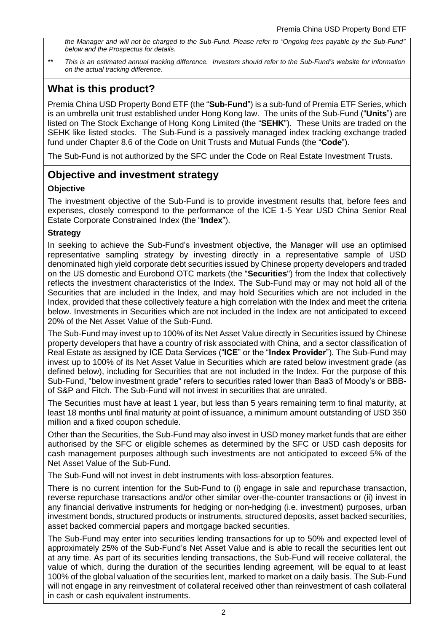*the Manager and will not be charged to the Sub-Fund. Please refer to "Ongoing fees payable by the Sub-Fund" below and the Prospectus for details.*

*\*\* This is an estimated annual tracking difference. Investors should refer to the Sub-Fund's website for information on the actual tracking difference*.

# **What is this product?**

Premia China USD Property Bond ETF (the "**Sub-Fund**") is a sub-fund of Premia ETF Series, which is an umbrella unit trust established under Hong Kong law. The units of the Sub-Fund ("**Units**") are listed on The Stock Exchange of Hong Kong Limited (the "**SEHK**"). These Units are traded on the SEHK like listed stocks. The Sub-Fund is a passively managed index tracking exchange traded fund under Chapter 8.6 of the Code on Unit Trusts and Mutual Funds (the "**Code**").

The Sub-Fund is not authorized by the SFC under the Code on Real Estate Investment Trusts.

## **Objective and investment strategy**

#### **Objective**

The investment objective of the Sub-Fund is to provide investment results that, before fees and expenses, closely correspond to the performance of the ICE 1-5 Year USD China Senior Real Estate Corporate Constrained Index (the "**Index**").

#### **Strategy**

In seeking to achieve the Sub-Fund's investment objective, the Manager will use an optimised representative sampling strategy by investing directly in a representative sample of USD denominated high yield corporate debt securities issued by Chinese property developers and traded on the US domestic and Eurobond OTC markets (the "**Securities**") from the Index that collectively reflects the investment characteristics of the Index. The Sub-Fund may or may not hold all of the Securities that are included in the Index, and may hold Securities which are not included in the Index, provided that these collectively feature a high correlation with the Index and meet the criteria below. Investments in Securities which are not included in the Index are not anticipated to exceed 20% of the Net Asset Value of the Sub-Fund.

The Sub-Fund may invest up to 100% of its Net Asset Value directly in Securities issued by Chinese property developers that have a country of risk associated with China, and a sector classification of Real Estate as assigned by ICE Data Services ("**ICE**" or the "**Index Provider**"). The Sub-Fund may invest up to 100% of its Net Asset Value in Securities which are rated below investment grade (as defined below), including for Securities that are not included in the Index. For the purpose of this Sub-Fund, "below investment grade" refers to securities rated lower than Baa3 of Moody's or BBBof S&P and Fitch. The Sub-Fund will not invest in securities that are unrated.

The Securities must have at least 1 year, but less than 5 years remaining term to final maturity, at least 18 months until final maturity at point of issuance, a minimum amount outstanding of USD 350 million and a fixed coupon schedule.

Other than the Securities, the Sub-Fund may also invest in USD money market funds that are either authorised by the SFC or eligible schemes as determined by the SFC or USD cash deposits for cash management purposes although such investments are not anticipated to exceed 5% of the Net Asset Value of the Sub-Fund.

The Sub-Fund will not invest in debt instruments with loss-absorption features.

There is no current intention for the Sub-Fund to (i) engage in sale and repurchase transaction, reverse repurchase transactions and/or other similar over-the-counter transactions or (ii) invest in any financial derivative instruments for hedging or non-hedging (i.e. investment) purposes, urban investment bonds, structured products or instruments, structured deposits, asset backed securities, asset backed commercial papers and mortgage backed securities.

The Sub-Fund may enter into securities lending transactions for up to 50% and expected level of approximately 25% of the Sub-Fund's Net Asset Value and is able to recall the securities lent out at any time. As part of its securities lending transactions, the Sub-Fund will receive collateral, the value of which, during the duration of the securities lending agreement, will be equal to at least 100% of the global valuation of the securities lent, marked to market on a daily basis. The Sub-Fund will not engage in any reinvestment of collateral received other than reinvestment of cash collateral in cash or cash equivalent instruments.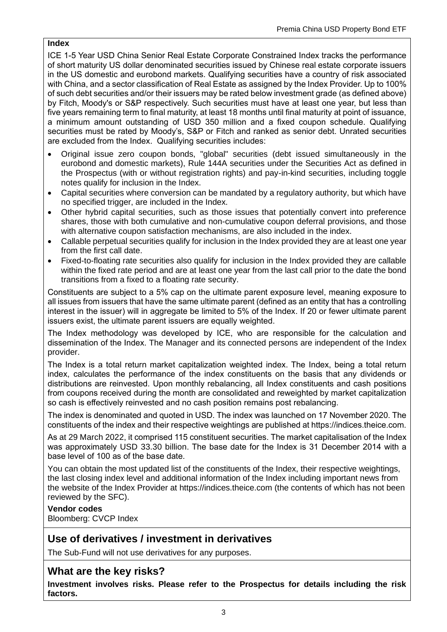#### **Index**

ICE 1-5 Year USD China Senior Real Estate Corporate Constrained Index tracks the performance of short maturity US dollar denominated securities issued by Chinese real estate corporate issuers in the US domestic and eurobond markets. Qualifying securities have a country of risk associated with China, and a sector classification of Real Estate as assigned by the Index Provider. Up to 100% of such debt securities and/or their issuers may be rated below investment grade (as defined above) by Fitch, Moody's or S&P respectively. Such securities must have at least one year, but less than five years remaining term to final maturity, at least 18 months until final maturity at point of issuance, a minimum amount outstanding of USD 350 million and a fixed coupon schedule. Qualifying securities must be rated by Moody's, S&P or Fitch and ranked as senior debt. Unrated securities are excluded from the Index. Qualifying securities includes:

- Original issue zero coupon bonds, "global" securities (debt issued simultaneously in the eurobond and domestic markets), Rule 144A securities under the Securities Act as defined in the Prospectus (with or without registration rights) and pay-in-kind securities, including toggle notes qualify for inclusion in the Index.
- Capital securities where conversion can be mandated by a regulatory authority, but which have no specified trigger, are included in the Index.
- Other hybrid capital securities, such as those issues that potentially convert into preference shares, those with both cumulative and non-cumulative coupon deferral provisions, and those with alternative coupon satisfaction mechanisms, are also included in the index.
- Callable perpetual securities qualify for inclusion in the Index provided they are at least one year from the first call date.
- Fixed-to-floating rate securities also qualify for inclusion in the Index provided they are callable within the fixed rate period and are at least one year from the last call prior to the date the bond transitions from a fixed to a floating rate security.

Constituents are subject to a 5% cap on the ultimate parent exposure level, meaning exposure to all issues from issuers that have the same ultimate parent (defined as an entity that has a controlling interest in the issuer) will in aggregate be limited to 5% of the Index. If 20 or fewer ultimate parent issuers exist, the ultimate parent issuers are equally weighted.

The Index methodology was developed by ICE, who are responsible for the calculation and dissemination of the Index. The Manager and its connected persons are independent of the Index provider.

The Index is a total return market capitalization weighted index. The Index, being a total return index, calculates the performance of the index constituents on the basis that any dividends or distributions are reinvested. Upon monthly rebalancing, all Index constituents and cash positions from coupons received during the month are consolidated and reweighted by market capitalization so cash is effectively reinvested and no cash position remains post rebalancing.

The index is denominated and quoted in USD. The index was launched on 17 November 2020. The constituents of the index and their respective weightings are published at https://indices.theice.com.

As at 29 March 2022, it comprised 115 constituent securities. The market capitalisation of the Index was approximately USD 33.30 billion. The base date for the Index is 31 December 2014 with a base level of 100 as of the base date.

You can obtain the most updated list of the constituents of the Index, their respective weightings, the last closing index level and additional information of the Index including important news from the website of the Index Provider at https://indices.theice.com (the contents of which has not been reviewed by the SFC).

**Vendor codes** Bloomberg: CVCP Index

# **Use of derivatives / investment in derivatives**

The Sub-Fund will not use derivatives for any purposes.

## **What are the key risks?**

**Investment involves risks. Please refer to the Prospectus for details including the risk factors.**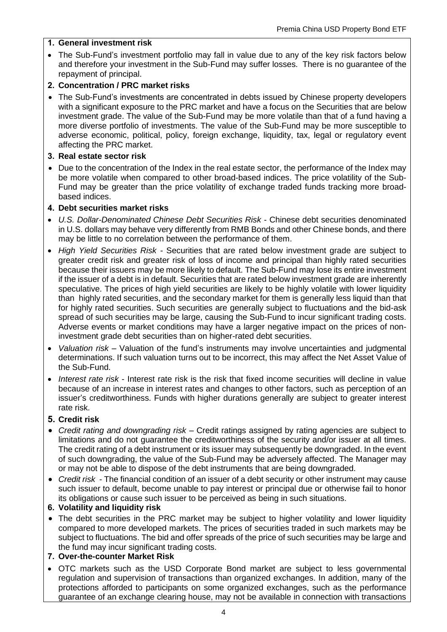#### **1. General investment risk**

• The Sub-Fund's investment portfolio may fall in value due to any of the key risk factors below and therefore your investment in the Sub-Fund may suffer losses. There is no guarantee of the repayment of principal.

#### **2. Concentration / PRC market risks**

- The Sub-Fund's investments are concentrated in debts issued by Chinese property developers with a significant exposure to the PRC market and have a focus on the Securities that are below investment grade. The value of the Sub-Fund may be more volatile than that of a fund having a more diverse portfolio of investments. The value of the Sub-Fund may be more susceptible to adverse economic, political, policy, foreign exchange, liquidity, tax, legal or regulatory event affecting the PRC market.
- **3. Real estate sector risk**
- Due to the concentration of the Index in the real estate sector, the performance of the Index may be more volatile when compared to other broad-based indices. The price volatility of the Sub-Fund may be greater than the price volatility of exchange traded funds tracking more broadbased indices.

#### **4. Debt securities market risks**

- *U.S. Dollar-Denominated Chinese Debt Securities Risk*  Chinese debt securities denominated in U.S. dollars may behave very differently from RMB Bonds and other Chinese bonds, and there may be little to no correlation between the performance of them.
- *High Yield Securities Risk -* Securities that are rated below investment grade are subject to greater credit risk and greater risk of loss of income and principal than highly rated securities because their issuers may be more likely to default. The Sub-Fund may lose its entire investment if the issuer of a debt is in default. Securities that are rated below investment grade are inherently speculative. The prices of high yield securities are likely to be highly volatile with lower liquidity than highly rated securities, and the secondary market for them is generally less liquid than that for highly rated securities. Such securities are generally subject to fluctuations and the bid-ask spread of such securities may be large, causing the Sub-Fund to incur significant trading costs. Adverse events or market conditions may have a larger negative impact on the prices of noninvestment grade debt securities than on higher-rated debt securities.
- *Valuation risk* Valuation of the fund's instruments may involve uncertainties and judgmental determinations. If such valuation turns out to be incorrect, this may affect the Net Asset Value of the Sub-Fund.
- *Interest rate risk* Interest rate risk is the risk that fixed income securities will decline in value because of an increase in interest rates and changes to other factors, such as perception of an issuer's creditworthiness. Funds with higher durations generally are subject to greater interest rate risk.

#### **5. Credit risk**

- *Credit rating and downgrading risk* Credit ratings assigned by rating agencies are subject to limitations and do not guarantee the creditworthiness of the security and/or issuer at all times. The credit rating of a debt instrument or its issuer may subsequently be downgraded. In the event of such downgrading, the value of the Sub-Fund may be adversely affected. The Manager may or may not be able to dispose of the debt instruments that are being downgraded.
- *Credit risk* The financial condition of an issuer of a debt security or other instrument may cause such issuer to default, become unable to pay interest or principal due or otherwise fail to honor its obligations or cause such issuer to be perceived as being in such situations.
- **6. Volatility and liquidity risk**
- The debt securities in the PRC market may be subject to higher volatility and lower liquidity compared to more developed markets. The prices of securities traded in such markets may be subject to fluctuations. The bid and offer spreads of the price of such securities may be large and the fund may incur significant trading costs.

#### **7. Over-the-counter Market Risk**

• OTC markets such as the USD Corporate Bond market are subject to less governmental regulation and supervision of transactions than organized exchanges. In addition, many of the protections afforded to participants on some organized exchanges, such as the performance guarantee of an exchange clearing house, may not be available in connection with transactions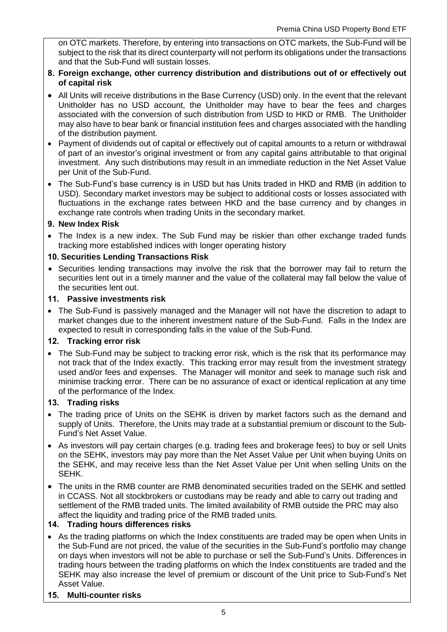on OTC markets. Therefore, by entering into transactions on OTC markets, the Sub-Fund will be subject to the risk that its direct counterparty will not perform its obligations under the transactions and that the Sub-Fund will sustain losses.

#### **8. Foreign exchange, other currency distribution and distributions out of or effectively out of capital risk**

- All Units will receive distributions in the Base Currency (USD) only. In the event that the relevant Unitholder has no USD account, the Unitholder may have to bear the fees and charges associated with the conversion of such distribution from USD to HKD or RMB. The Unitholder may also have to bear bank or financial institution fees and charges associated with the handling of the distribution payment.
- Payment of dividends out of capital or effectively out of capital amounts to a return or withdrawal of part of an investor's original investment or from any capital gains attributable to that original investment. Any such distributions may result in an immediate reduction in the Net Asset Value per Unit of the Sub-Fund.
- The Sub-Fund's base currency is in USD but has Units traded in HKD and RMB (in addition to USD). Secondary market investors may be subject to additional costs or losses associated with fluctuations in the exchange rates between HKD and the base currency and by changes in exchange rate controls when trading Units in the secondary market.

#### **9. New Index Risk**

• The Index is a new index. The Sub Fund may be riskier than other exchange traded funds tracking more established indices with longer operating history

#### **10. Securities Lending Transactions Risk**

• Securities lending transactions may involve the risk that the borrower may fail to return the securities lent out in a timely manner and the value of the collateral may fall below the value of the securities lent out.

#### **11. Passive investments risk**

• The Sub-Fund is passively managed and the Manager will not have the discretion to adapt to market changes due to the inherent investment nature of the Sub-Fund. Falls in the Index are expected to result in corresponding falls in the value of the Sub-Fund.

#### **12. Tracking error risk**

• The Sub-Fund may be subject to tracking error risk, which is the risk that its performance may not track that of the Index exactly. This tracking error may result from the investment strategy used and/or fees and expenses. The Manager will monitor and seek to manage such risk and minimise tracking error. There can be no assurance of exact or identical replication at any time of the performance of the Index.

#### **13. Trading risks**

- The trading price of Units on the SEHK is driven by market factors such as the demand and supply of Units. Therefore, the Units may trade at a substantial premium or discount to the Sub-Fund's Net Asset Value.
- As investors will pay certain charges (e.g. trading fees and brokerage fees) to buy or sell Units on the SEHK, investors may pay more than the Net Asset Value per Unit when buying Units on the SEHK, and may receive less than the Net Asset Value per Unit when selling Units on the SEHK.
- The units in the RMB counter are RMB denominated securities traded on the SEHK and settled in CCASS. Not all stockbrokers or custodians may be ready and able to carry out trading and settlement of the RMB traded units. The limited availability of RMB outside the PRC may also affect the liquidity and trading price of the RMB traded units.

#### **14. Trading hours differences risks**

- As the trading platforms on which the Index constituents are traded may be open when Units in the Sub-Fund are not priced, the value of the securities in the Sub-Fund's portfolio may change on days when investors will not be able to purchase or sell the Sub-Fund's Units. Differences in trading hours between the trading platforms on which the Index constituents are traded and the SEHK may also increase the level of premium or discount of the Unit price to Sub-Fund's Net Asset Value.
- **15. Multi-counter risks**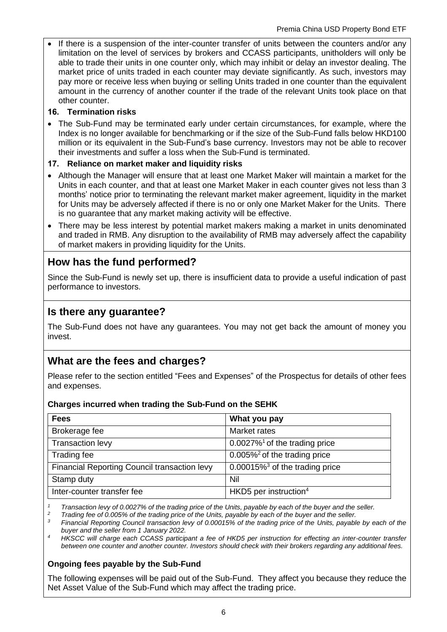If there is a suspension of the inter-counter transfer of units between the counters and/or any limitation on the level of services by brokers and CCASS participants, unitholders will only be able to trade their units in one counter only, which may inhibit or delay an investor dealing. The market price of units traded in each counter may deviate significantly. As such, investors may pay more or receive less when buying or selling Units traded in one counter than the equivalent amount in the currency of another counter if the trade of the relevant Units took place on that other counter.

## **16. Termination risks**

• The Sub-Fund may be terminated early under certain circumstances, for example, where the Index is no longer available for benchmarking or if the size of the Sub-Fund falls below HKD100 million or its equivalent in the Sub-Fund's base currency. Investors may not be able to recover their investments and suffer a loss when the Sub-Fund is terminated.

## **17. Reliance on market maker and liquidity risks**

- Although the Manager will ensure that at least one Market Maker will maintain a market for the Units in each counter, and that at least one Market Maker in each counter gives not less than 3 months' notice prior to terminating the relevant market maker agreement, liquidity in the market for Units may be adversely affected if there is no or only one Market Maker for the Units. There is no guarantee that any market making activity will be effective.
- There may be less interest by potential market makers making a market in units denominated and traded in RMB. Any disruption to the availability of RMB may adversely affect the capability of market makers in providing liquidity for the Units.

# **How has the fund performed?**

Since the Sub-Fund is newly set up, there is insufficient data to provide a useful indication of past performance to investors.

## **Is there any guarantee?**

The Sub-Fund does not have any guarantees. You may not get back the amount of money you invest.

## **What are the fees and charges?**

Please refer to the section entitled "Fees and Expenses" of the Prospectus for details of other fees and expenses.

#### **Charges incurred when trading the Sub-Fund on the SEHK**

| <b>Fees</b>                                  | What you pay                                  |
|----------------------------------------------|-----------------------------------------------|
| Brokerage fee                                | Market rates                                  |
| <b>Transaction levy</b>                      | $0.0027\%$ <sup>1</sup> of the trading price  |
| Trading fee                                  | $0.005\%$ <sup>2</sup> of the trading price   |
| Financial Reporting Council transaction levy | $0.00015\%$ <sup>3</sup> of the trading price |
| Stamp duty                                   | Nil                                           |
| Inter-counter transfer fee                   | HKD5 per instruction $4$                      |

*<sup>1</sup> Transaction levy of 0.0027% of the trading price of the Units, payable by each of the buyer and the seller.*

*<sup>2</sup> Trading fee of 0.005% of the trading price of the Units, payable by each of the buyer and the seller.*

*<sup>3</sup> Financial Reporting Council transaction levy of 0.00015% of the trading price of the Units, payable by each of the buyer and the seller from 1 January 2022.*

*<sup>4</sup>HKSCC will charge each CCASS participant a fee of HKD5 per instruction for effecting an inter-counter transfer between one counter and another counter. Investors should check with their brokers regarding any additional fees.*

#### **Ongoing fees payable by the Sub-Fund**

The following expenses will be paid out of the Sub-Fund. They affect you because they reduce the Net Asset Value of the Sub-Fund which may affect the trading price.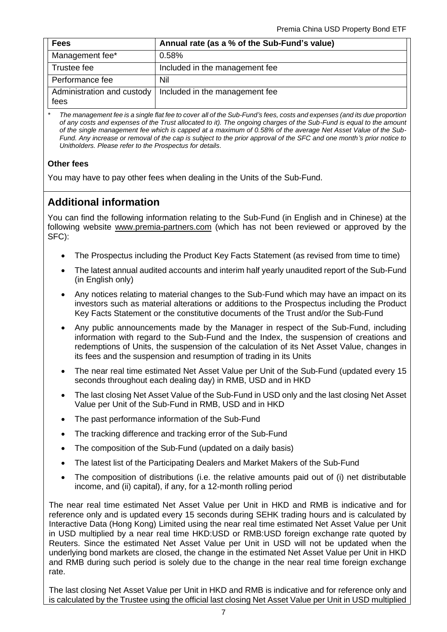| <b>Fees</b>                        | Annual rate (as a % of the Sub-Fund's value) |
|------------------------------------|----------------------------------------------|
| Management fee*                    | 0.58%                                        |
| Trustee fee                        | Included in the management fee               |
| Performance fee                    | Nil                                          |
| Administration and custody<br>fees | Included in the management fee               |

*\* The management fee is a single flat fee to cover all of the Sub-Fund's fees, costs and expenses (and its due proportion of any costs and expenses of the Trust allocated to it). The ongoing charges of the Sub-Fund is equal to the amount of the single management fee which is capped at a maximum of 0.58% of the average Net Asset Value of the Sub-Fund. Any increase or removal of the cap is subject to the prior approval of the SFC and one month's prior notice to Unitholders. Please refer to the Prospectus for details.*

#### **Other fees**

You may have to pay other fees when dealing in the Units of the Sub-Fund.

# **Additional information**

You can find the following information relating to the Sub-Fund (in English and in Chinese) at the following website [www.premia-partners.com](http://www.premia-partners.com/) (which has not been reviewed or approved by the SFC):

- The Prospectus including the Product Key Facts Statement (as revised from time to time)
- The latest annual audited accounts and interim half yearly unaudited report of the Sub-Fund (in English only)
- Any notices relating to material changes to the Sub-Fund which may have an impact on its investors such as material alterations or additions to the Prospectus including the Product Key Facts Statement or the constitutive documents of the Trust and/or the Sub-Fund
- Any public announcements made by the Manager in respect of the Sub-Fund, including information with regard to the Sub-Fund and the Index, the suspension of creations and redemptions of Units, the suspension of the calculation of its Net Asset Value, changes in its fees and the suspension and resumption of trading in its Units
- The near real time estimated Net Asset Value per Unit of the Sub-Fund (updated every 15 seconds throughout each dealing day) in RMB, USD and in HKD
- The last closing Net Asset Value of the Sub-Fund in USD only and the last closing Net Asset Value per Unit of the Sub-Fund in RMB, USD and in HKD
- The past performance information of the Sub-Fund
- The tracking difference and tracking error of the Sub-Fund
- The composition of the Sub-Fund (updated on a daily basis)
- The latest list of the Participating Dealers and Market Makers of the Sub-Fund
- The composition of distributions (i.e. the relative amounts paid out of (i) net distributable income, and (ii) capital), if any, for a 12-month rolling period

The near real time estimated Net Asset Value per Unit in HKD and RMB is indicative and for reference only and is updated every 15 seconds during SEHK trading hours and is calculated by Interactive Data (Hong Kong) Limited using the near real time estimated Net Asset Value per Unit in USD multiplied by a near real time HKD:USD or RMB:USD foreign exchange rate quoted by Reuters. Since the estimated Net Asset Value per Unit in USD will not be updated when the underlying bond markets are closed, the change in the estimated Net Asset Value per Unit in HKD and RMB during such period is solely due to the change in the near real time foreign exchange rate.

The last closing Net Asset Value per Unit in HKD and RMB is indicative and for reference only and is calculated by the Trustee using the official last closing Net Asset Value per Unit in USD multiplied